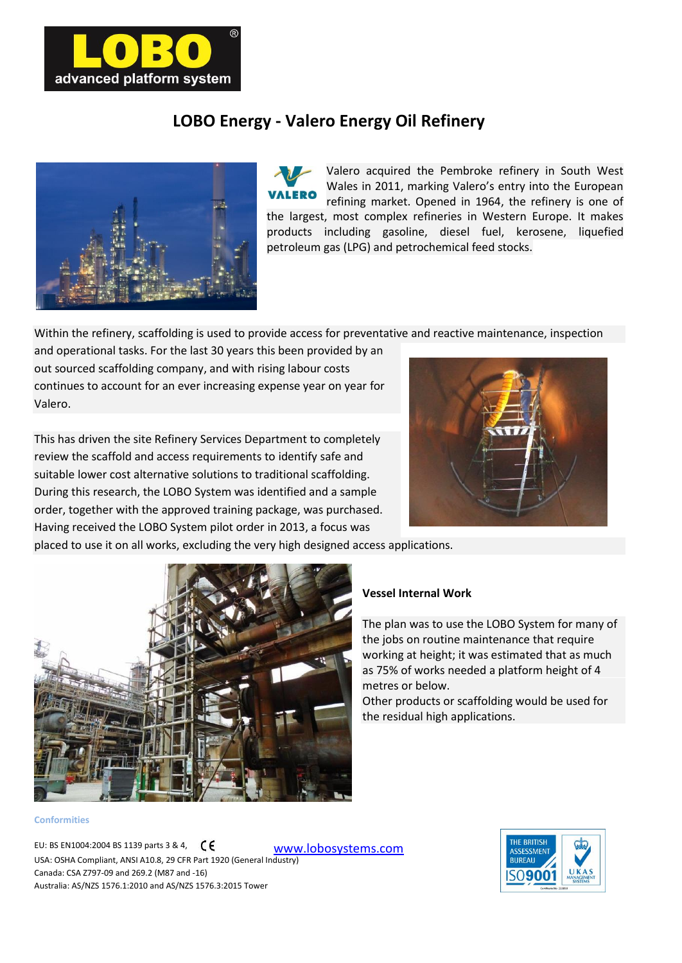

## **LOBO Energy - Valero Energy Oil Refinery**



Valero acquired the Pembroke refinery in South West Wales in 2011, marking Valero's entry into the European refining market. Opened in 1964, the refinery is one of the largest, most complex refineries in Western Europe. It makes products including gasoline, diesel fuel, kerosene, liquefied petroleum gas (LPG) and petrochemical feed stocks.

Within the refinery, scaffolding is used to provide access for preventative and reactive maintenance, inspection

and operational tasks. For the last 30 years this been provided by an out sourced scaffolding company, and with rising labour costs continues to account for an ever increasing expense year on year for Valero.

This has driven the site Refinery Services Department to completely review the scaffold and access requirements to identify safe and suitable lower cost alternative solutions to traditional scaffolding. During this research, the LOBO System was identified and a sample order, together with the approved training package, was purchased. Having received the LOBO System pilot order in 2013, a focus was



placed to use it on all works, excluding the very high designed access applications.



## **Conformities**

[www.lobosystems.com](http://www.lobosystems.com/) EU: BS EN1004:2004 BS 1139 parts 3 & 4,  $\zeta \in$ USA: OSHA Compliant, ANSI A10.8, 29 CFR Part 1920 (General Industry) Canada: CSA Z797-09 and 269.2 (M87 and -16) Australia: AS/NZS 1576.1:2010 and AS/NZS 1576.3:2015 Tower

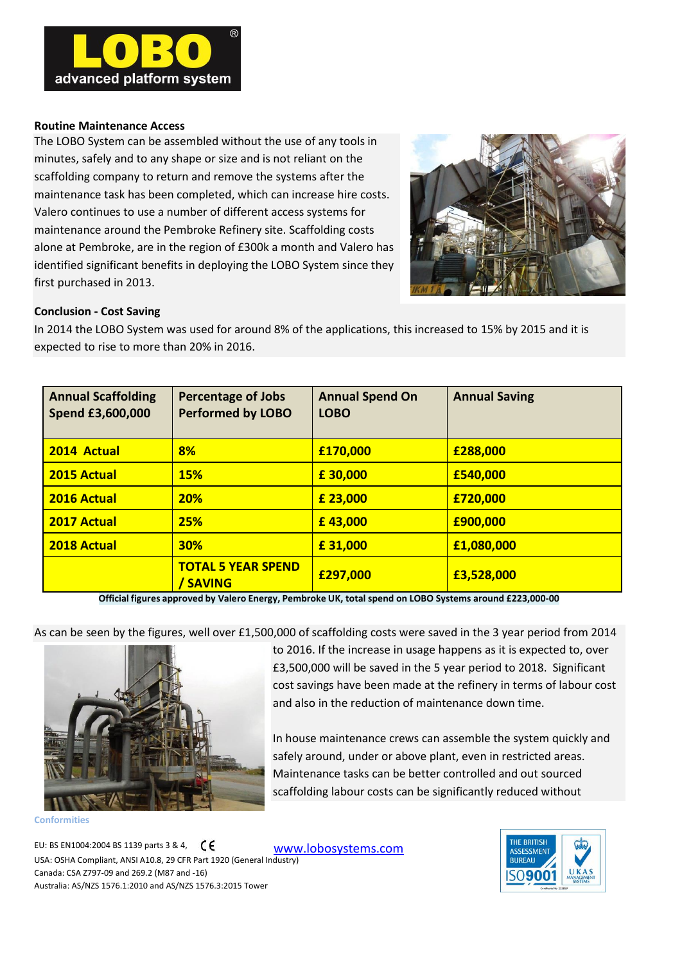

## **Routine Maintenance Access**

The LOBO System can be assembled without the use of any tools in minutes, safely and to any shape or size and is not reliant on the scaffolding company to return and remove the systems after the maintenance task has been completed, which can increase hire costs. Valero continues to use a number of different access systems for maintenance around the Pembroke Refinery site. Scaffolding costs alone at Pembroke, are in the region of £300k a month and Valero has identified significant benefits in deploying the LOBO System since they first purchased in 2013.



## **Conclusion - Cost Saving**

In 2014 the LOBO System was used for around 8% of the applications, this increased to 15% by 2015 and it is expected to rise to more than 20% in 2016.

| <b>Annual Scaffolding</b><br>Spend £3,600,000 | <b>Percentage of Jobs</b><br><b>Performed by LOBO</b> | <b>Annual Spend On</b><br><b>LOBO</b> | <b>Annual Saving</b> |
|-----------------------------------------------|-------------------------------------------------------|---------------------------------------|----------------------|
| 2014 Actual                                   | 8%                                                    | £170,000                              | £288,000             |
| <b>2015 Actual</b>                            | <b>15%</b>                                            | £30,000                               | £540,000             |
| 2016 Actual                                   | <b>20%</b>                                            | £ 23,000                              | £720,000             |
| 2017 Actual                                   | 25%                                                   | £43,000                               | £900,000             |
| 2018 Actual                                   | <b>30%</b>                                            | £31,000                               | £1,080,000           |
|                                               | <b>TOTAL 5 YEAR SPEND</b><br><b>SAVING</b>            | £297,000                              | £3,528,000           |

**Official figures approved by Valero Energy, Pembroke UK, total spend on LOBO Systems around £223,000-00**

As can be seen by the figures, well over £1,500,000 of scaffolding costs were saved in the 3 year period from 2014



**Conformities**

to 2016. If the increase in usage happens as it is expected to, over £3,500,000 will be saved in the 5 year period to 2018. Significant cost savings have been made at the refinery in terms of labour cost and also in the reduction of maintenance down time.

In house maintenance crews can assemble the system quickly and safely around, under or above plant, even in restricted areas. Maintenance tasks can be better controlled and out sourced scaffolding labour costs can be significantly reduced without

[www.lobosystems.com](http://www.lobosystems.com/) EU: BS EN1004:2004 BS 1139 parts 3 & 4,  $\zeta \xi$ USA: OSHA Compliant, ANSI A10.8, 29 CFR Part 1920 (General Industry) Canada: CSA Z797-09 and 269.2 (M87 and -16) Australia: AS/NZS 1576.1:2010 and AS/NZS 1576.3:2015 Tower